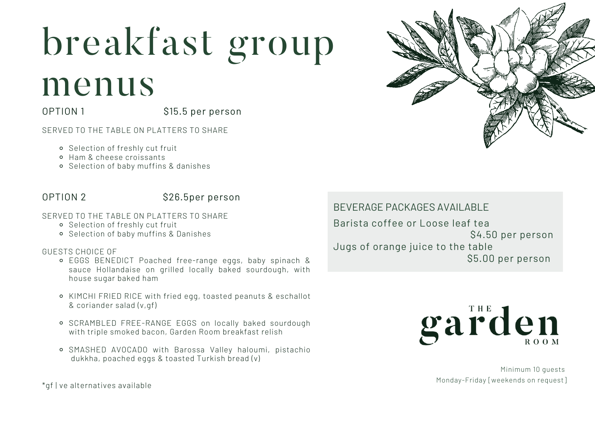## breakfast group

## menus

OPTION 1 \$15.5 per person

SERVED TO THE TABLE ON PLATTERS TO SHARE

- Selection of freshly cut fruit
- Ham & cheese croissants
- Selection of baby muffins & danishes

### OPTION 2 \$26.5per person

#### SERVED TO THE TABLE ON PLATTERS TO SHARE

- Selection of freshly cut fruit
- Selection of baby muffins & Danishes

### GUESTS CHOICE OF

- EGGS BENEDICT Poached free-range eggs, baby spinach & sauce Hollandaise on grilled locally baked sourdough, with house sugar baked ham
- KIMCHI FRIED RICE with fried egg, toasted peanuts & eschallot & coriander salad (v,gf)
- SCRAMBLED FREE-RANGE EGGS on locally baked sourdough with triple smoked bacon, Garden Room breakfast relish
- SMASHED AVOCADO with Barossa Valley haloumi, pistachio dukkha, poached eggs & toasted Turkish bread (v)

\*gf | ve alternatives available

Barista coffee or Loose leaf tea \$4.50 per person Jugs of orange juice to the table \$5.00 per person BEVERAGE PACKAGES AVAILABLE



Minimum 10 guests Monday-Friday [weekends on request]